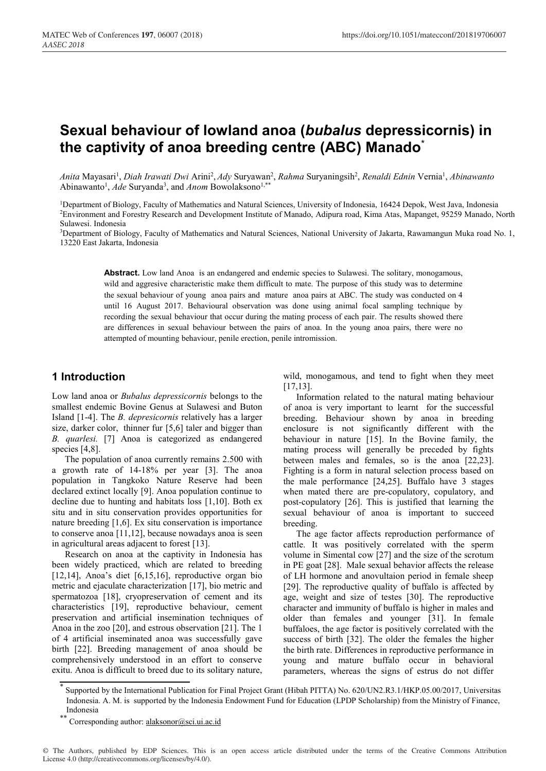# **Sexual behaviour of lowland anoa (***bubalus* **depressicornis) in the captivity of anoa breeding centre (ABC) Manado**\*

*Anita* Mayasari1 , *Diah Irawati Dwi* Arini2 , *Ady* Suryawan2 , *Rahma* Suryaningsih2 , *Renaldi Ednin* Vernia1 , *Abinawanto* Abinawanto<sup>1</sup>, *Ade* Suryanda<sup>3</sup>, and *Anom* Bowolaksono<sup>1,\*\*</sup>

1Department of Biology, Faculty of Mathematics and Natural Sciences, University of Indonesia, 16424 Depok, West Java, Indonesia 2Environment and Forestry Research and Development Institute of Manado, Adipura road, Kima Atas, Mapanget, 95259 Manado, North Sulawesi. Indonesia

3Department of Biology, Faculty of Mathematics and Natural Sciences, National University of Jakarta, Rawamangun Muka road No. 1, 13220 East Jakarta, Indonesia

**Abstract.** Low land Anoa is an endangered and endemic species to Sulawesi. The solitary, monogamous, wild and aggresive characteristic make them difficult to mate. The purpose of this study was to determine the sexual behaviour of young anoa pairs and mature anoa pairs at ABC. The study was conducted on 4 until 16 August 2017. Behavioural observation was done using animal focal sampling technique by recording the sexual behaviour that occur during the mating process of each pair. The results showed there are differences in sexual behaviour between the pairs of anoa. In the young anoa pairs, there were no attempted of mounting behaviour, penile erection, penile intromission.

## **1 Introduction**

Low land anoa or *Bubalus depressicornis* belongs to the smallest endemic Bovine Genus at Sulawesi and Buton Island [1-4]. The *B. depresicornis* relatively has a larger size, darker color, thinner fur [5,6] taler and bigger than *B. quarlesi.* [7] Anoa is categorized as endangered species [4,8].

The population of anoa currently remains 2.500 with a growth rate of 14-18% per year [3]. The anoa population in Tangkoko Nature Reserve had been declared extinct locally [9]. Anoa population continue to decline due to hunting and habitats loss [1,10]. Both ex situ and in situ conservation provides opportunities for nature breeding [1,6]. Ex situ conservation is importance to conserve anoa [11,12], because nowadays anoa is seen in agricultural areas adjacent to forest [13].

Research on anoa at the captivity in Indonesia has been widely practiced, which are related to breeding [12,14], Anoa's diet  $[6,15,16]$ , reproductive organ bio metric and ejaculate characterization [17], bio metric and spermatozoa [18], cryopreservation of cement and its characteristics [19], reproductive behaviour, cement preservation and artificial insemination techniques of Anoa in the zoo [20], and estrous observation [21]. The 1 of 4 artificial inseminated anoa was successfully gave birth [22]. Breeding management of anoa should be comprehensively understood in an effort to conserve exitu. Anoa is difficult to breed due to its solitary nature,

wild, monogamous, and tend to fight when they meet [17,13].

Information related to the natural mating behaviour of anoa is very important to learnt for the successful breeding. Behaviour shown by anoa in breeding enclosure is not significantly different with the behaviour in nature [15]. In the Bovine family, the mating process will generally be preceded by fights between males and females, so is the anoa [22,23]. Fighting is a form in natural selection process based on the male performance [24,25]. Buffalo have 3 stages when mated there are pre-copulatory, copulatory, and post-copulatory [26]. This is justified that learning the sexual behaviour of anoa is important to succeed breeding.

The age factor affects reproduction performance of cattle. It was positively correlated with the sperm volume in Simental cow [27] and the size of the scrotum in PE goat [28]. Male sexual behavior affects the release of LH hormone and anovultaion period in female sheep [29]. The reproductive quality of buffalo is affected by age, weight and size of testes [30]. The reproductive character and immunity of buffalo is higher in males and older than females and younger [31]. In female buffaloes, the age factor is positively correlated with the success of birth [32]. The older the females the higher the birth rate. Differences in reproductive performance in young and mature buffalo occur in behavioral parameters, whereas the signs of estrus do not differ

Supported by the International Publication for Final Project Grant (Hibah PITTA) No. 620/UN2.R3.1/HKP.05.00/2017, Universitas Indonesia. A. M. is supported by the Indonesia Endowment Fund for Education (LPDP Scholarship) from the Ministry of Finance, Indonesia

Corresponding author: alaksonor@sci.ui.ac.id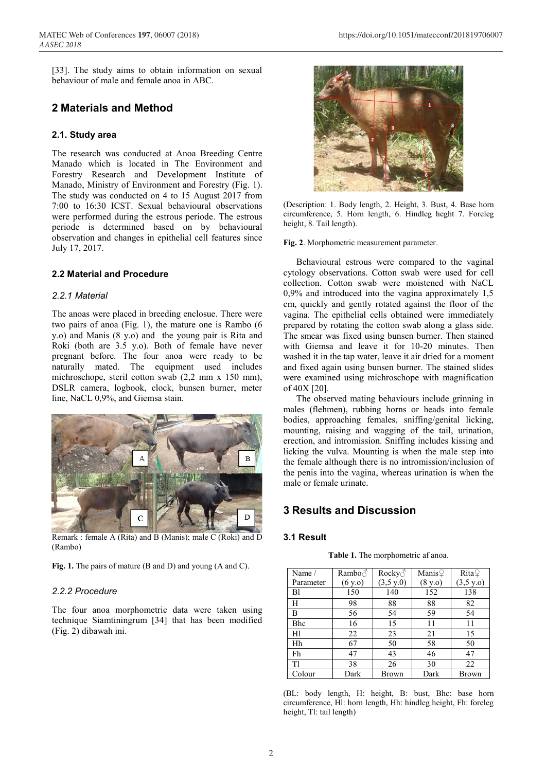[33]. The study aims to obtain information on sexual behaviour of male and female anoa in ABC.

## **2 Materials and Method**

#### **2.1. Study area**

The research was conducted at Anoa Breeding Centre Manado which is located in The Environment and Forestry Research and Development Institute of Manado, Ministry of Environment and Forestry (Fig. 1). The study was conducted on 4 to 15 August 2017 from 7:00 to 16:30 ICST. Sexual behavioural observations were performed during the estrous periode. The estrous periode is determined based on by behavioural observation and changes in epithelial cell features since July 17, 2017.

#### **2.2 Material and Procedure**

#### *2.2.1 Material*

The anoas were placed in breeding enclosue. There were two pairs of anoa (Fig. 1), the mature one is Rambo (6 y.o) and Manis (8 y.o) and the young pair is Rita and Roki (both are 3.5 y.o). Both of female have never pregnant before. The four anoa were ready to be naturally mated. The equipment used includes michroschope, steril cotton swab (2,2 mm x 150 mm), DSLR camera, logbook, clock, bunsen burner, meter line, NaCL 0,9%, and Giemsa stain.



Remark : female A (Rita) and B (Manis); male C (Roki) and D (Rambo)

**Fig. 1.** The pairs of mature (B and D) and young (A and C).

#### *2.2.2 Procedure*

The four anoa morphometric data were taken using technique Siamtiningrum [34] that has been modified (Fig. 2) dibawah ini.



(Description: 1. Body length, 2. Height, 3. Bust, 4. Base horn circumference, 5. Horn length, 6. Hindleg heght 7. Foreleg height, 8. Tail length).

**Fig. 2**. Morphometric measurement parameter.

Behavioural estrous were compared to the vaginal cytology observations. Cotton swab were used for cell collection. Cotton swab were moistened with NaCL 0,9% and introduced into the vagina approximately 1,5 cm, quickly and gently rotated against the floor of the vagina. The epithelial cells obtained were immediately prepared by rotating the cotton swab along a glass side. The smear was fixed using bunsen burner. Then stained with Giemsa and leave it for 10-20 minutes. Then washed it in the tap water, leave it air dried for a moment and fixed again using bunsen burner. The stained slides were examined using michroschope with magnification of 40X [20].

The observed mating behaviours include grinning in males (flehmen), rubbing horns or heads into female bodies, approaching females, sniffing/genital licking, mounting, raising and wagging of the tail, urination, erection, and intromission. Sniffing includes kissing and licking the vulva. Mounting is when the male step into the female although there is no intromission/inclusion of the penis into the vagina, whereas urination is when the male or female urinate.

## **3 Results and Discussion**

#### **3.1 Result**

**Table 1.** The morphometric af anoa.

| Name /         | Rambo $\partial$ | Rocky $\delta$      | Manis $\mathcal Q$ | RitaQ        |
|----------------|------------------|---------------------|--------------------|--------------|
| Parameter      | (6 y.o)          | $(3,5 \text{ y.0})$ | (8 y.o)            | (3,5 y.o)    |
| B <sub>1</sub> | 150              | 140                 | 152                | 138          |
| H              | 98               | 88                  | 88                 | 82           |
| B              | 56               | 54                  | 59                 | 54           |
| Bhc            | 16               | 15                  | 11                 | 11           |
| Hl             | 22               | 23                  | 21                 | 15           |
| Hh             | 67               | 50                  | 58                 | 50           |
| Fh             | 47               | 43                  | 46                 | 47           |
| Tl             | 38               | 26                  | 30                 | 22           |
| Colour         | Dark             | <b>Brown</b>        | Dark               | <b>Brown</b> |

(BL: body length, H: height, B: bust, Bhc: base horn circumference, Hl: horn length, Hh: hindleg height, Fh: foreleg height, Tl: tail length)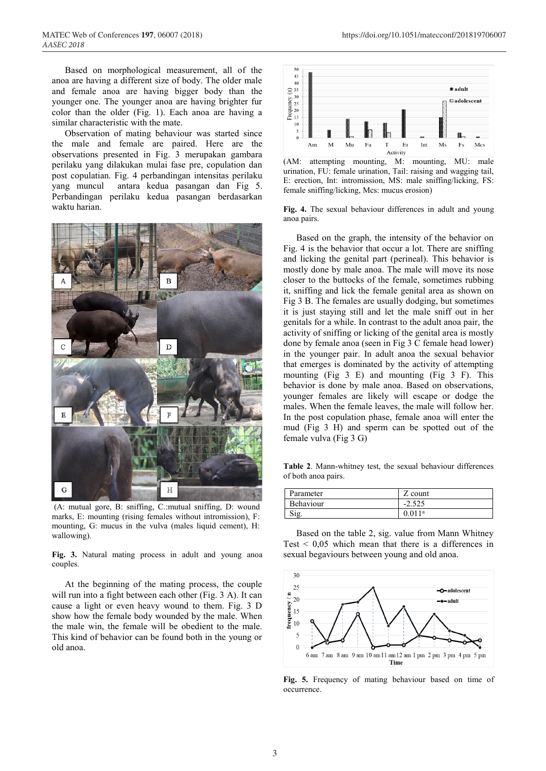Based on morphological measurement, all of the anoa are having a different size of body. The older male and female anoa are having bigger body than the younger one. The younger anoa are having brighter fur color than the older (Fig. 1). Each anoa are having a similar characteristic with the mate.

Observation of mating behaviour was started since the male and female are paired. Here are the observations presented in Fig. 3 merupakan gambara perilaku yang dilakukan mulai fase pre, copulation dan post copulatian. Fig. 4 perbandingan intensitas perilaku yang muncul antara kedua pasangan dan Fig 5. Perbandingan perilaku kedua pasangan berdasarkan waktu harian.



(A: mutual gore, B: sniffing, C.:mutual sniffing, D: wound marks, E: mounting (rising females without intromission), F: mounting, G: mucus in the vulva (males liquid cement), H: wallowing).

**Fig. 3.** Natural mating process in adult and young anoa couples.

At the beginning of the mating process, the couple will run into a fight between each other (Fig. 3 A). It can cause a light or even heavy wound to them. Fig. 3 D show how the female body wounded by the male. When the male win, the female will be obedient to the male. This kind of behavior can be found both in the young or old anoa.



(AM: attempting mounting, M: mounting, MU: male urination, FU: female urination, Tail: raising and wagging tail, E: erection, Int: intromission, MS: male sniffing/licking, FS: female sniffing/licking, Mcs: mucus erosion)

**Fig. 4.** The sexual behaviour differences in adult and young anoa pairs.

Based on the graph, the intensity of the behavior on Fig. 4 is the behavior that occur a lot. There are sniffing and licking the genital part (perineal). This behavior is mostly done by male anoa. The male will move its nose closer to the buttocks of the female, sometimes rubbing it, sniffing and lick the female genital area as shown on Fig 3 B. The females are usually dodging, but sometimes it is just staying still and let the male sniff out in her genitals for a while. In contrast to the adult anoa pair, the activity of sniffing or licking of the genital area is mostly done by female anoa (seen in Fig 3 C female head lower) in the younger pair. In adult anoa the sexual behavior that emerges is dominated by the activity of attempting mounting (Fig 3 E) and mounting (Fig 3 F). This behavior is done by male anoa. Based on observations, younger females are likely will escape or dodge the males. When the female leaves, the male will follow her. In the post copulation phase, female anoa will enter the mud (Fig 3 H) and sperm can be spotted out of the female vulva (Fig 3 G)

**Table 2**. Mann-whitney test, the sexual behaviour differences of both anoa pairs.

| Parameter | Z count            |
|-----------|--------------------|
| Behaviour | $-2.525$           |
| Sig       | 0.011 <sup>a</sup> |

Based on the table 2, sig. value from Mann Whitney Test  $\leq 0.05$  which mean that there is a differences in sexual begaviours between young and old anoa.



**Fig. 5.** Frequency of mating behaviour based on time of occurrence.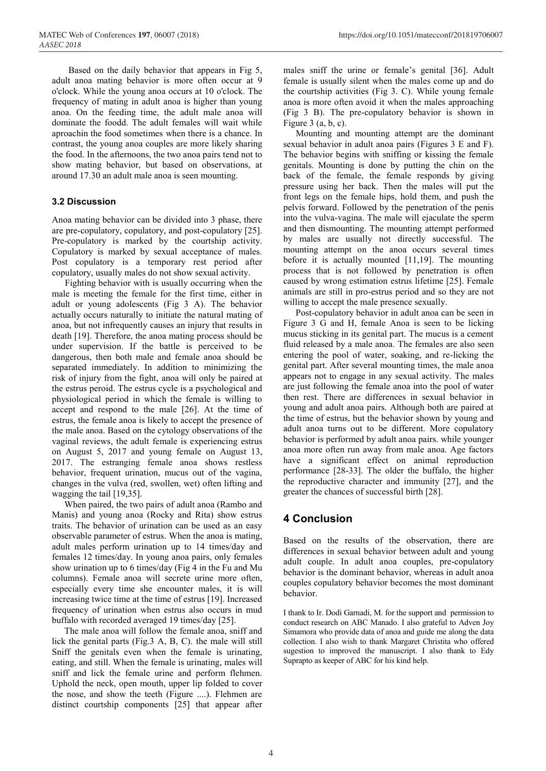Based on the daily behavior that appears in Fig 5, adult anoa mating behavior is more often occur at 9 o'clock. While the young anoa occurs at 10 o'clock. The frequency of mating in adult anoa is higher than young anoa. On the feeding time, the adult male anoa will dominate the foodd. The adult females will wait while aproachin the food sometimes when there is a chance. In contrast, the young anoa couples are more likely sharing the food. In the afternoons, the two anoa pairs tend not to show mating behavior, but based on observations, at around 17.30 an adult male anoa is seen mounting.

#### **3.2 Discussion**

Anoa mating behavior can be divided into 3 phase, there are pre-copulatory, copulatory, and post-copulatory [25]. Pre-copulatory is marked by the courtship activity. Copulatory is marked by sexual acceptance of males. Post copulatory is a temporary rest period after copulatory, usually males do not show sexual activity.

Fighting behavior with is usually occurring when the male is meeting the female for the first time, either in adult or young adolescents (Fig 3 A). The behavior actually occurs naturally to initiate the natural mating of anoa, but not infrequently causes an injury that results in death [19]. Therefore, the anoa mating process should be under supervision. If the battle is perceived to be dangerous, then both male and female anoa should be separated immediately. In addition to minimizing the risk of injury from the fight, anoa will only be paired at the estrus peroid. The estrus cycle is a psychological and physiological period in which the female is willing to accept and respond to the male [26]. At the time of estrus, the female anoa is likely to accept the presence of the male anoa. Based on the cytology observations of the vaginal reviews, the adult female is experiencing estrus on August 5, 2017 and young female on August 13, 2017. The estranging female anoa shows restless behavior, frequent urination, mucus out of the vagina, changes in the vulva (red, swollen, wet) often lifting and wagging the tail [19,35].

When paired, the two pairs of adult anoa (Rambo and Manis) and young anoa (Rocky and Rita) show estrus traits. The behavior of urination can be used as an easy observable parameter of estrus. When the anoa is mating, adult males perform urination up to 14 times/day and females 12 times/day. In young anoa pairs, only females show urination up to 6 times/day (Fig 4 in the Fu and Mu columns). Female anoa will secrete urine more often, especially every time she encounter males, it is will increasing twice time at the time of estrus [19]. Increased frequency of urination when estrus also occurs in mud buffalo with recorded averaged 19 times/day [25].

The male anoa will follow the female anoa, sniff and lick the genital parts (Fig.3 A, B, C). the male will still Sniff the genitals even when the female is urinating, eating, and still. When the female is urinating, males will sniff and lick the female urine and perform flehmen. Uphold the neck, open mouth, upper lip folded to cover the nose, and show the teeth (Figure ....). Flehmen are distinct courtship components [25] that appear after

males sniff the urine or female's genital [36]. Adult female is usually silent when the males come up and do the courtship activities (Fig 3. C). While young female anoa is more often avoid it when the males approaching (Fig 3 B). The pre-copulatory behavior is shown in Figure  $3$  (a, b, c).

Mounting and mounting attempt are the dominant sexual behavior in adult anoa pairs (Figures 3 E and F). The behavior begins with sniffing or kissing the female genitals. Mounting is done by putting the chin on the back of the female, the female responds by giving pressure using her back. Then the males will put the front legs on the female hips, hold them, and push the pelvis forward. Followed by the penetration of the penis into the vulva-vagina. The male will ejaculate the sperm and then dismounting. The mounting attempt performed by males are usually not directly successful. The mounting attempt on the anoa occurs several times before it is actually mounted [11,19]. The mounting process that is not followed by penetration is often caused by wrong estimation estrus lifetime [25]. Female animals are still in pro-estrus period and so they are not willing to accept the male presence sexually.

Post-copulatory behavior in adult anoa can be seen in Figure 3 G and H, female Anoa is seen to be licking mucus sticking in its genital part. The mucus is a cement fluid released by a male anoa. The females are also seen entering the pool of water, soaking, and re-licking the genital part. After several mounting times, the male anoa appears not to engage in any sexual activity. The males are just following the female anoa into the pool of water then rest. There are differences in sexual behavior in young and adult anoa pairs. Although both are paired at the time of estrus, but the behavior shown by young and adult anoa turns out to be different. More copulatory behavior is performed by adult anoa pairs. while younger anoa more often run away from male anoa. Age factors have a significant effect on animal reproduction performance [28-33]. The older the buffalo, the higher the reproductive character and immunity [27], and the greater the chances of successful birth [28].

## **4 Conclusion**

Based on the results of the observation, there are differences in sexual behavior between adult and young adult couple. In adult anoa couples, pre-copulatory behavior is the dominant behavior, whereas in adult anoa couples copulatory behavior becomes the most dominant behavior.

I thank to Ir. Dodi Garnadi, M. for the support and permission to conduct research on ABC Manado. I also grateful to Adven Joy Simamora who provide data of anoa and guide me along the data collection. I also wish to thank Margaret Christita who offered sugestion to improved the manuscript. I also thank to Edy Suprapto as keeper of ABC for his kind help.